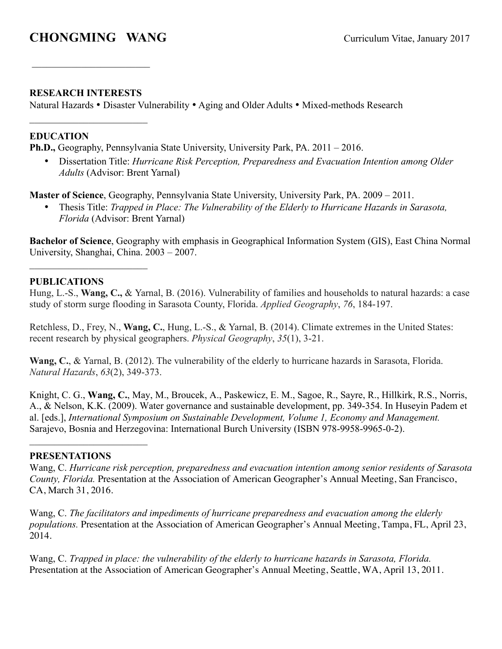# **CHONGMING WANG** Curriculum Vitae, January 2017

## **RESEARCH INTERESTS**

 $\mathcal{L}_\text{max}$ 

 $\mathcal{L}_\text{max}$  , where  $\mathcal{L}_\text{max}$  , we have the set of  $\mathcal{L}_\text{max}$ 

Natural Hazards • Disaster Vulnerability • Aging and Older Adults • Mixed-methods Research

## **EDUCATION**

**Ph.D.,** Geography, Pennsylvania State University, University Park, PA. 2011 – 2016.

• Dissertation Title: *Hurricane Risk Perception, Preparedness and Evacuation Intention among Older Adults* (Advisor: Brent Yarnal)

**Master of Science**, Geography, Pennsylvania State University, University Park, PA. 2009 – 2011.

• Thesis Title: *Trapped in Place: The Vulnerability of the Elderly to Hurricane Hazards in Sarasota, Florida* (Advisor: Brent Yarnal)

**Bachelor of Science**, Geography with emphasis in Geographical Information System (GIS), East China Normal University, Shanghai, China. 2003 – 2007.

### **PUBLICATIONS**

 $\mathcal{L}_\text{max}$  , where  $\mathcal{L}_\text{max}$  , we have the set of  $\mathcal{L}_\text{max}$ 

Hung, L.-S., **Wang, C.,** & Yarnal, B. (2016). Vulnerability of families and households to natural hazards: a case study of storm surge flooding in Sarasota County, Florida. *Applied Geography*, *76*, 184-197.

 Retchless, D., Frey, N., **Wang, C.**, Hung, L.-S., & Yarnal, B. (2014). Climate extremes in the United States: recent research by physical geographers. *Physical Geography*, *35*(1), 3-21.

**Wang, C.**, & Yarnal, B. (2012). The vulnerability of the elderly to hurricane hazards in Sarasota, Florida. *Natural Hazards*, *63*(2), 349-373.

Knight, C. G., **Wang, C.**, May, M., Broucek, A., Paskewicz, E. M., Sagoe, R., Sayre, R., Hillkirk, R.S., Norris, A., & Nelson, K.K. (2009). Water governance and sustainable development, pp. 349-354. In Huseyin Padem et al. [eds.], *International Symposium on Sustainable Development, Volume 1, Economy and Management.* Sarajevo, Bosnia and Herzegovina: International Burch University (ISBN 978-9958-9965-0-2).

#### **PRESENTATIONS**

 $\mathcal{L}_\text{max}$ 

Wang, C. *Hurricane risk perception, preparedness and evacuation intention among senior residents of Sarasota County, Florida.* Presentation at the Association of American Geographer's Annual Meeting, San Francisco, CA, March 31, 2016.

Wang, C. *The facilitators and impediments of hurricane preparedness and evacuation among the elderly populations.* Presentation at the Association of American Geographer's Annual Meeting, Tampa, FL, April 23, 2014.

Wang, C. *Trapped in place: the vulnerability of the elderly to hurricane hazards in Sarasota, Florida.*  Presentation at the Association of American Geographer's Annual Meeting, Seattle, WA, April 13, 2011.